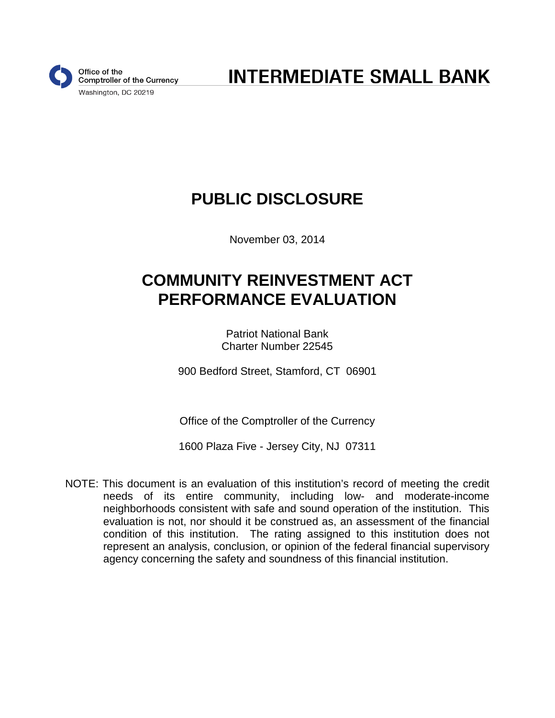

**INTERMEDIATE SMALL BANK** 

# **PUBLIC DISCLOSURE**

November 03, 2014

# **COMMUNITY REINVESTMENT ACT PERFORMANCE EVALUATION**

Patriot National Bank Charter Number 22545

900 Bedford Street, Stamford, CT 06901

Office of the Comptroller of the Currency

1600 Plaza Five - Jersey City, NJ 07311

NOTE: This document is an evaluation of this institution's record of meeting the credit needs of its entire community, including low- and moderate-income neighborhoods consistent with safe and sound operation of the institution. This evaluation is not, nor should it be construed as, an assessment of the financial condition of this institution. The rating assigned to this institution does not represent an analysis, conclusion, or opinion of the federal financial supervisory agency concerning the safety and soundness of this financial institution.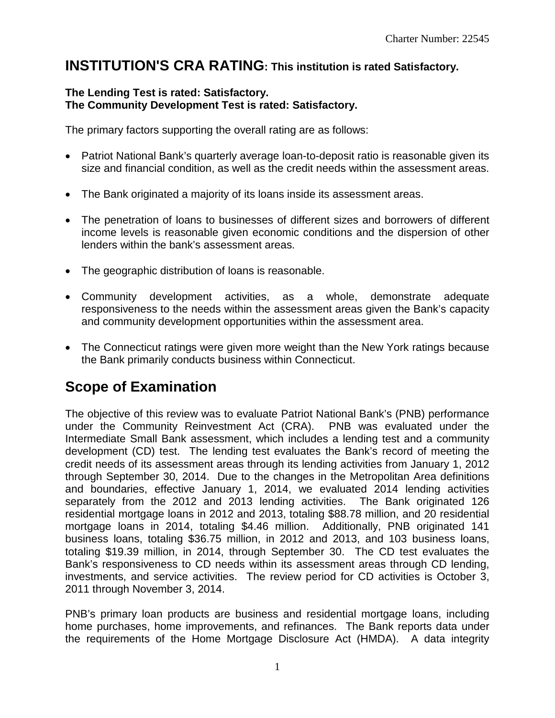### **INSTITUTION'S CRA RATING: This institution is rated Satisfactory.**

### **The Lending Test is rated: Satisfactory. The Community Development Test is rated: Satisfactory.**

The primary factors supporting the overall rating are as follows:

- Patriot National Bank's quarterly average loan-to-deposit ratio is reasonable given its size and financial condition, as well as the credit needs within the assessment areas.
- The Bank originated a majority of its loans inside its assessment areas.
- The penetration of loans to businesses of different sizes and borrowers of different income levels is reasonable given economic conditions and the dispersion of other lenders within the bank's assessment areas.
- The geographic distribution of loans is reasonable.
- Community development activities, as a whole, demonstrate adequate responsiveness to the needs within the assessment areas given the Bank's capacity and community development opportunities within the assessment area.
- The Connecticut ratings were given more weight than the New York ratings because the Bank primarily conducts business within Connecticut.

## **Scope of Examination**

The objective of this review was to evaluate Patriot National Bank's (PNB) performance under the Community Reinvestment Act (CRA). PNB was evaluated under the Intermediate Small Bank assessment, which includes a lending test and a community development (CD) test. The lending test evaluates the Bank's record of meeting the credit needs of its assessment areas through its lending activities from January 1, 2012 through September 30, 2014. Due to the changes in the Metropolitan Area definitions and boundaries, effective January 1, 2014, we evaluated 2014 lending activities separately from the 2012 and 2013 lending activities. The Bank originated 126 residential mortgage loans in 2012 and 2013, totaling \$88.78 million, and 20 residential mortgage loans in 2014, totaling \$4.46 million. Additionally, PNB originated 141 business loans, totaling \$36.75 million, in 2012 and 2013, and 103 business loans, totaling \$19.39 million, in 2014, through September 30. The CD test evaluates the Bank's responsiveness to CD needs within its assessment areas through CD lending, investments, and service activities. The review period for CD activities is October 3, 2011 through November 3, 2014.

PNB's primary loan products are business and residential mortgage loans, including home purchases, home improvements, and refinances. The Bank reports data under the requirements of the Home Mortgage Disclosure Act (HMDA). A data integrity